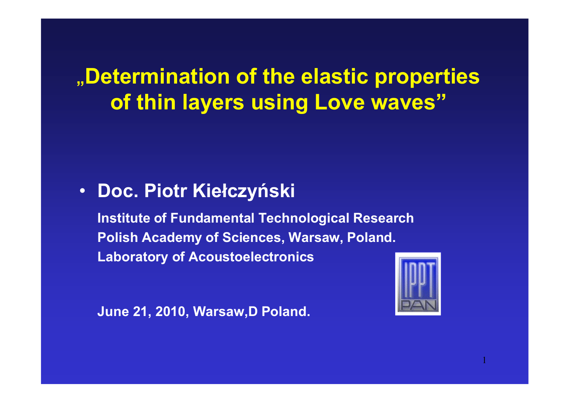# **"Determination of the elastic properties of thin layers using Love waves"**

# • **Doc. Piotr Kiełczyński**

**Institute of Fundamental Technological Research Polish Academy of Sciences, Warsaw, Poland.Laboratory of Acoustoelectronics**



**June 21, 2010, Warsaw,D Poland.**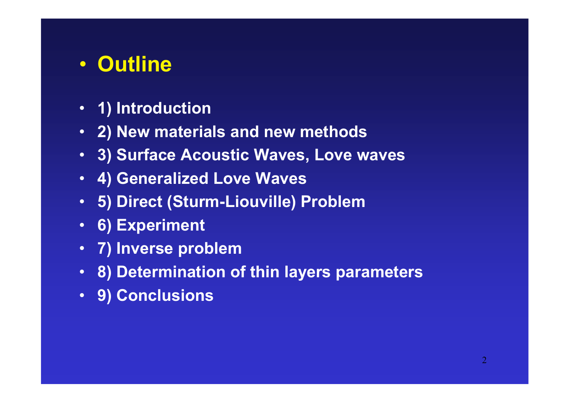#### $\bullet$ **Outline**

- **1) Introduction**
- **2) New materials and new methods**
- **3) Surface Acoustic Waves, Love waves**
- **4) Generalized Love Waves**
- **5) Direct (Sturm-Liouville) Problem**
- **6) Experiment**
- **7) Inverse problem**
- **8) Determination of thin layers parameters**
- **9) Conclusions**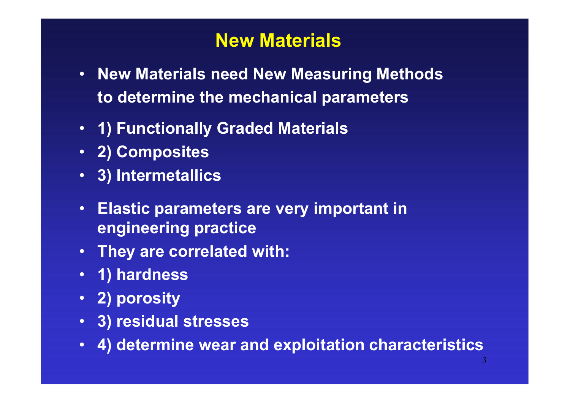# **New Materials**

- **New Materials need New Measuring Methods to determine the mechanical parameters**
- **1) Functionally Graded Materials**
- **2) Composites**
- **3) Intermetallics**
- • **Elastic parameters are very important in engineering practice**
- **They are correlated with:**
- **1) hardness**
- **2) porosity**
- **3) residual stresses**
- •**4) determine wear and exploitation characteristics**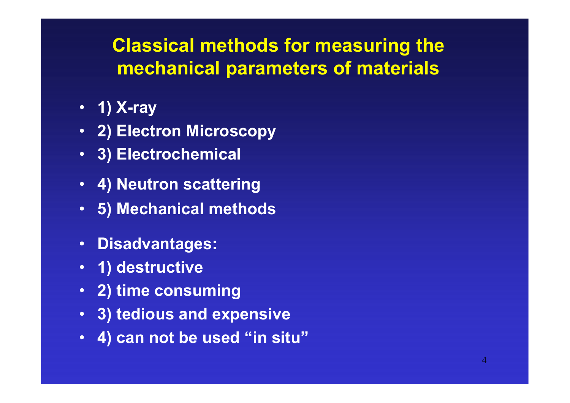# **Classical methods for measuring the mechanical parameters of materials**

- **1) X-ray**
- **2) Electron Microscopy**
- **3) Electrochemical**
- **4) Neutron scattering**
- **5) Mechanical methods**
- **Disadvantages:**
- **1) destructive**
- **2) time consuming**
- **3) tedious and expensive**
- •**4) can not be used "in situ"**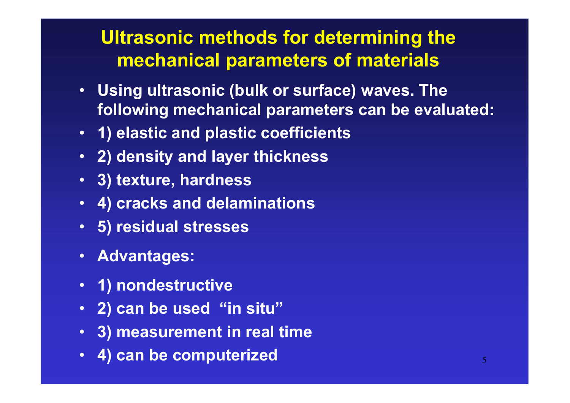# **Ultrasonic methods for determining the mechanical parameters of materials**

- **Using ultrasonic (bulk or surface) waves. The following mechanical parameters can be evaluated:**
- **1) elastic and plastic coefficients**
- **2) density and layer thickness**
- **3) texture, hardness**
- **4) cracks and delaminations**
- **5) residual stresses**
- **Advantages:**
- **1) nondestructive**
- **2) can be used "in situ"**
- **3) measurement in real time**
- •**4) can be computerized**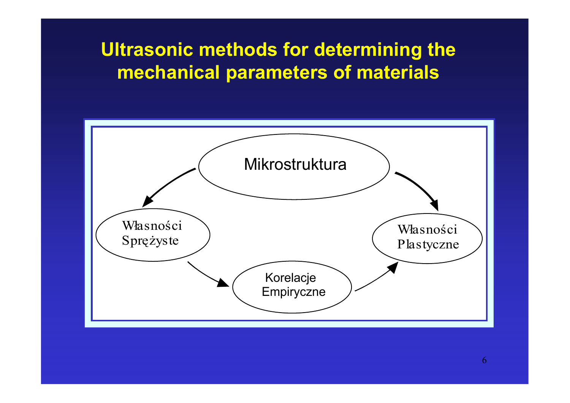# **Ultrasonic methods for determining the mechanical parameters of materials**

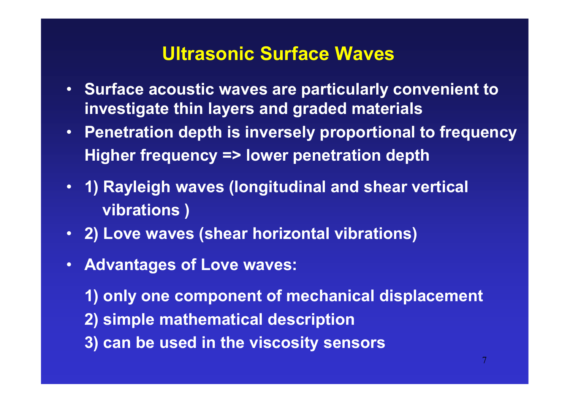#### **Ultrasonic Surface Waves**

- **Surface acoustic waves are particularly convenient to investigate thin layers and graded materials**
- **Penetration depth is inversely proportional to frequency Higher frequency => lower penetration depth**
- **1) Rayleigh waves (longitudinal and shear vertical vibrations )**
- **2) Love waves (shear horizontal vibrations)**
- **Advantages of Love waves:**

**1) only one component of mechanical displacement 2) simple mathematical description** 

**3) can be used in the viscosity sensors**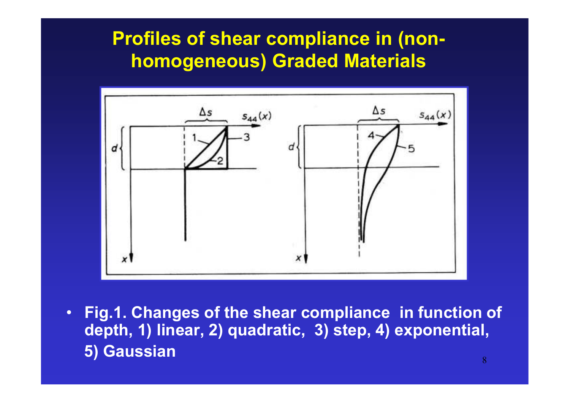# **Profiles of shear compliance in (nonhomogeneous) Graded Materials**



• **Fig.1. Changes of the shear compliance in function of depth, 1) linear, 2) quadratic, 3) step, 4) exponential,5) Gaussian**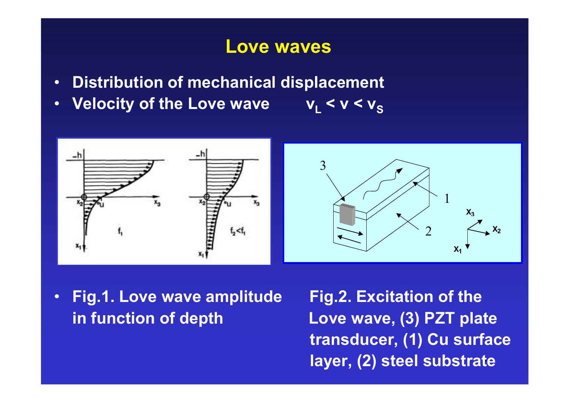#### **Love waves**

- •**Distribution of mechanical displacement**
- •**Velocity of the Love wave**  $\overline{v_{L}}$  <  $\overline{v}$  <  $\overline{v_{S}}$



 $\bullet$  **Fig.1. Love wave amplitude Fig.2. Excitation of the in function of depth Love wave, (3) PZT plate** 

9 **layer, (2) steel substratetransducer, (1) Cu surface**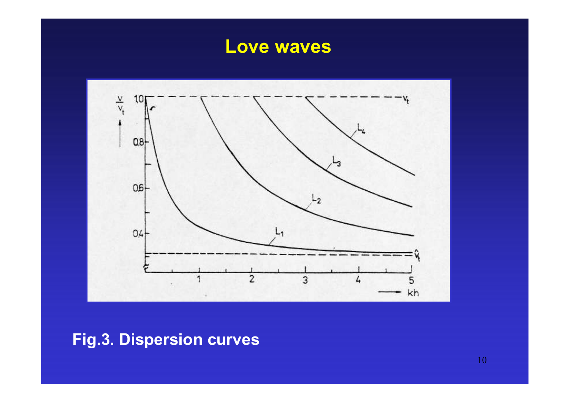### **Love waves**



**Fig.3. Dispersion curves** 

10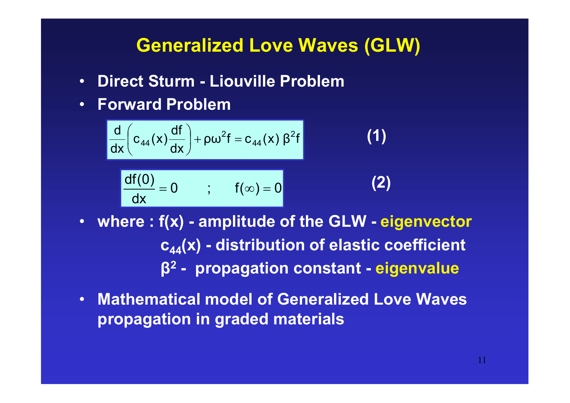#### **Generalized Love Waves (GLW)**

**(1)**

**(2)**

- •**Direct Sturm - Liouville Problem**
- •**Forward Problem**

$$
\frac{d}{dx}\left(c_{44}(x)\frac{df}{dx}\right) + \rho\omega^{2}f = c_{44}(x)\beta^{2}f
$$

$$
\frac{df(0)}{dx} = 0 \qquad ; \qquad f(\infty) = 0
$$

- **where : f(x) - amplitude of the GLW - eigenvector <sup>c</sup>44(x) - distribution of elastic coefficient β2 - propagation constant - eigenvalue**
- $\bullet$  **Mathematical model of Generalized Love Waves propagation in graded materials**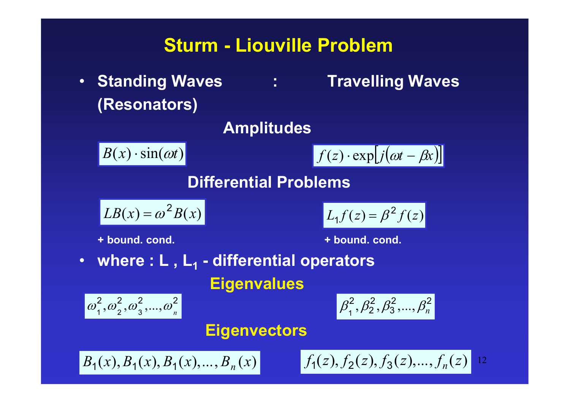### **Sturm - Liouville Problem**

• Standing Waves : Travelling Waves **(Resonators)** 

#### **Amplitudes**

 $B(x) \cdot \sin(\omega t)$ 

$$
f(z) \cdot \exp[j(\omega t - \beta x)]
$$

**Differential Problems** 

$$
LB(x) = \omega^2 B(x)
$$

 $L_1 f(z) = \beta^2 f(z)$ 2 $1 f(z) = \beta^2$ 

**+ bound. cond. + bound. cond.** 

• **where : L , L1 - differential operators Eigenvalues** 

$$
\[\omega_1^2, \omega_2^2, \omega_3^2, ..., \omega_n^2\]
$$

$$
\beta_1^2, \beta_2^2, \beta_3^2, ..., \beta_n^2
$$

#### **Eigenvectors**

$$
B_1(x), B_1(x), B_1(x), ..., B_n(x)
$$

$$
f_1(z), f_2(z), f_3(z), \ldots, f_n(z)
$$
 12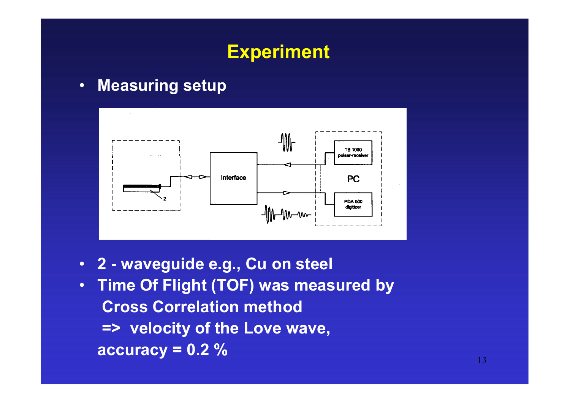# **Experiment**

•**Measuring setup** 



- **2 - waveguide e.g., Cu on steel**
- • **Time Of Flight (TOF) was measured by Cross Correlation method => velocity of the Love wave, accuracy = 0.2 %**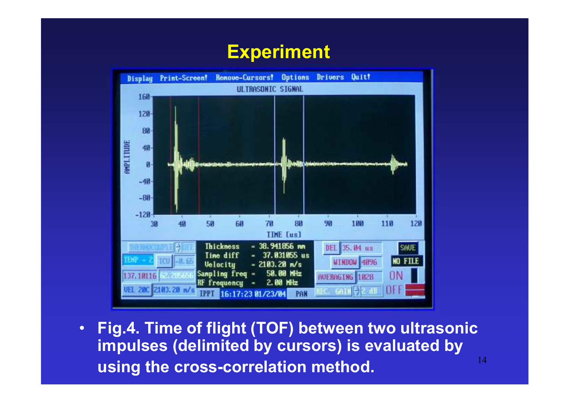### **Experiment**



14• **Fig.4. Time of flight (TOF) between two ultrasonic impulses (delimited by cursors) is evaluated by using the cross-correlation method.**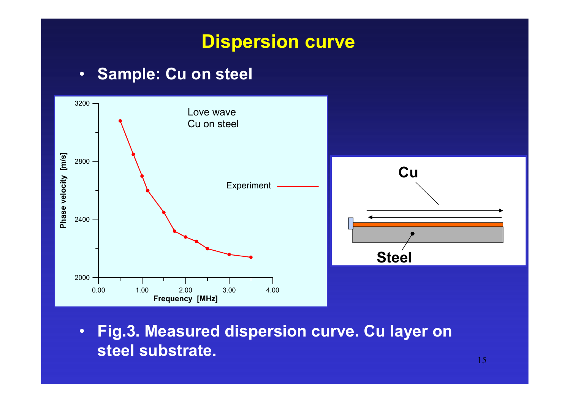### **Dispersion curve**

#### $\bullet$ **Sample: Cu on steel**



• **Fig.3. Measured dispersion curve. Cu layer on steel substrate.**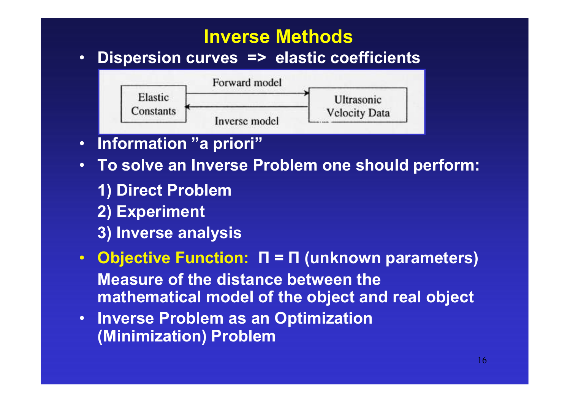# **Inverse Methods**

 **Dispersion curves => elastic coefficients**  •



- •**Information "a priori"**
- **To solve an Inverse Problem one should perform:**
	- **1) Direct Problem**
	- **2) Experiment**
	- **3) Inverse analysis**
- • **Objective Function: Π = Π (unknown parameters) Measure of the distance between the mathematical model of the object and real object**
- • **Inverse Problem as an Optimization (Minimization) Problem**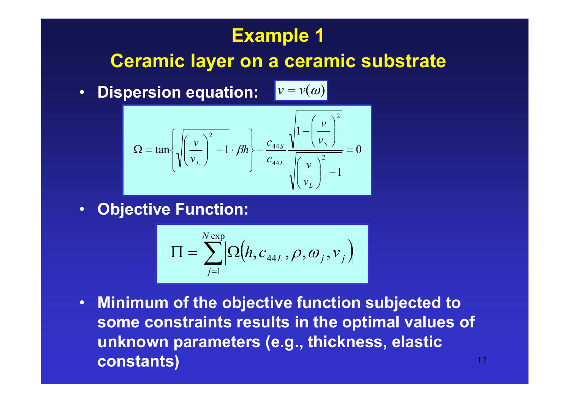# **Example 1**

#### **Ceramic layer on a ceramic substrate**

 $\bullet$  **Dispersion equation:**   $v = v(\omega)$ 

$$
\Omega = \tan\left\{\sqrt{\left(\frac{v}{v_L}\right)^2 - 1} \cdot \beta h\right\} - \frac{c_{44S}}{c_{44L}} \frac{\sqrt{1 - \left(\frac{v}{v_S}\right)^2}}{\sqrt{\left(\frac{v}{v_L}\right)^2 - 1}} = 0
$$

•**Objective Function:** 

$$
\Pi = \sum_{j=1}^{N \exp} Q(h, c_{44L}, \rho, \omega_j, v_j)
$$

17• **Minimum of the objective function subjected to some constraints results in the optimal values of unknown parameters (e.g., thickness, elastic constants)**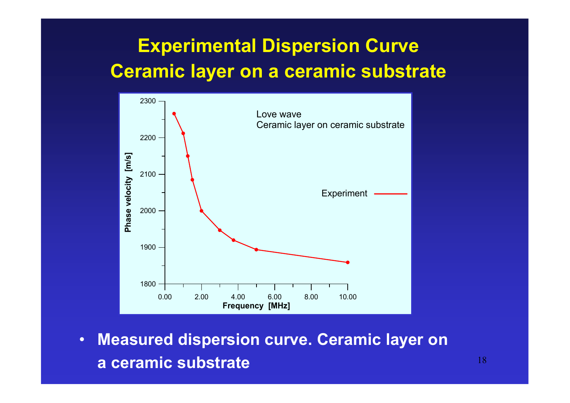# **Experimental Dispersion CurveCeramic layer on a ceramic substrate**



• **Measured dispersion curve. Ceramic layer ona ceramic substrate**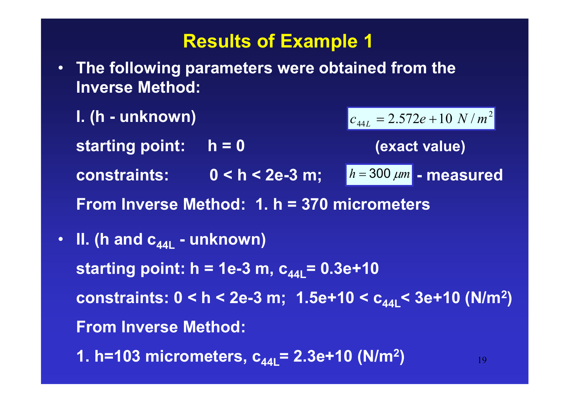#### **Results of Example 1**

• **The following parameters were obtained from the Inverse Method:** 

**I. (h - unknown) starting point: h = 0 (exact value)**constraints: 0 < h < 2e-3 m;  $\boxed{h = 300 \ \mu m}$  - measured **From Inverse Method: 1. h = 370 micrometers** $c_{44L} = 2.572e + 10 N/m^2$ 

• **II. (h and c44L - unknown) starting point: h = 1e-3 m,**  $c_{44L}$  **= 0.3e+10 constraints: 0 < h < 2e-3 m; 1.5e+10 < c44L< 3e+10 (N/m2 )From Inverse Method:1. h=103 micrometers, c44L= 2.3e+10 (N/m2)**

19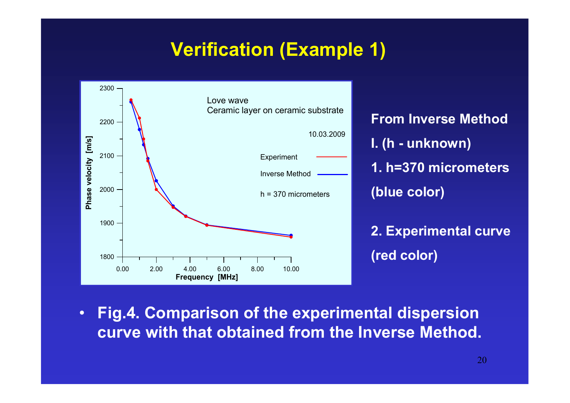# **Verification (Example 1)**



**From Inverse MethodI. (h - unknown) 1. h=370 micrometers(blue color) 2. Experimental curve**

**(red color)** 

 $\bullet$  **Fig.4. Comparison of the experimental dispersion curve with that obtained from the Inverse Method.**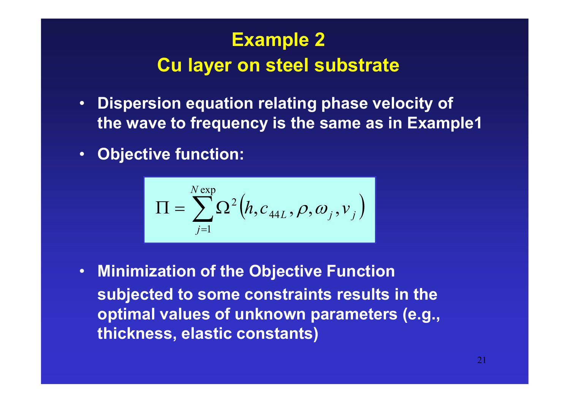# **Example 2 Cu layer on steel substrate**

- $\bullet$  **Dispersion equation relating phase velocity of the wave to frequency is the same as in Example1**
- $\bullet$ **Objective function:**

$$
\Pi = \sum_{j=1}^{N \exp} \Omega^2 \big( h, c_{44L}, \rho, \omega_j, v_j \big)
$$

• **Minimization of the Objective Function subjected to some constraints results in the optimal values of unknown parameters (e.g., thickness, elastic constants)**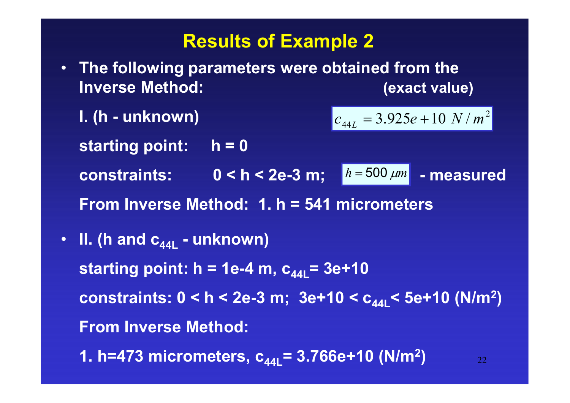### **Results of Example 2**

- **The following parameters were obtained from the Inverse Method:** *(exact value)* 
	- **I. (h - unknown) starting point: h = 0** constraints: 0 < h < 2e-3 m;  $h = 500 \mu m$  - measured **From Inverse Method: 1. h = 541 micrometers** $c_{44L} = 3.925e + 10 N/m^2$
- **II. (h and c44L - unknown) starting point: h = 1e-4 m,**  $c_{44}$  **= 3e+10 constraints: 0 < h < 2e-3 m; 3e+10 < c44L< 5e+10 (N/m2 )From Inverse Method:**

22

**1. h=473 micrometers, c44L= 3.766e+10 (N/m2)**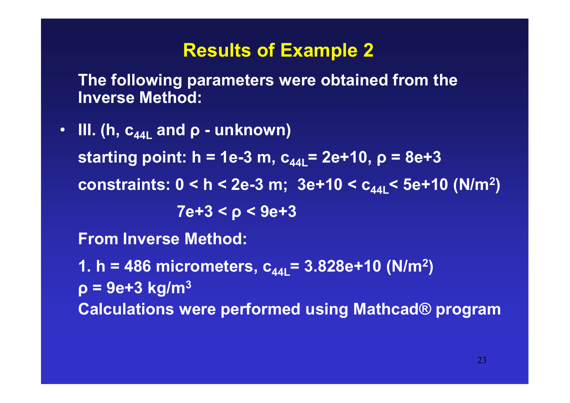#### **Results of Example 2**

**The following parameters were obtained from the Inverse Method:**

• **III. (h, c44L and ρ - unknown)** starting point: h = 1e-3 m,  $c_{44}$  = 2e+10,  $\rho = 8e+3$ **constraints: 0 < h < 2e-3 m; 3e+10 < c44L< 5e+10 (N/m2 )7e+3 < ρ < 9e+3From Inverse Method:1. h = 486 micrometers, c44L= 3.828e+10 (N/m2 )ρ = 9e+3 kg/m3Calculations were performed using Mathcad® program**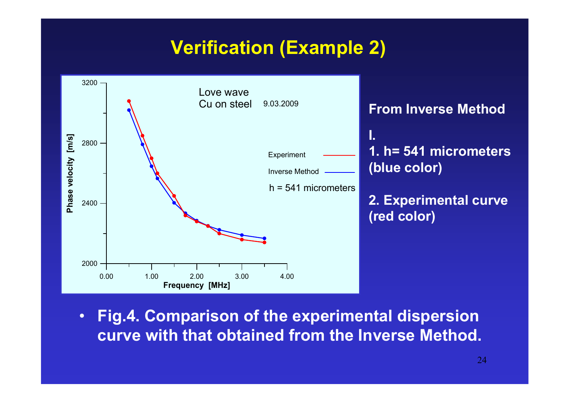# **Verification (Example 2)**



 $\bullet$  **Fig.4. Comparison of the experimental dispersion curve with that obtained from the Inverse Method.**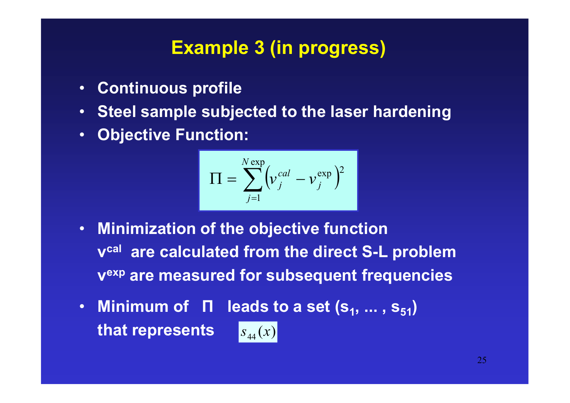### **Example 3 (in progress)**

- •**Continuous profile**
- •**Steel sample subjected to the laser hardening**
- $\bullet$ **Objective Function:**

$$
\Pi = \sum_{j=1}^{N \exp} \left( v_j^{cal} - v_j^{\exp} \right)^2
$$

- • **Minimization of the objective function <sup>v</sup>cal are calculated from the direct S-L problemvexp are measured for subsequent frequencies**
- Minimum of  $\Pi$  leads to a set  $(s_1, ..., s_{51})$ **that represents**  $s_{\rm 44}^{}(x)$